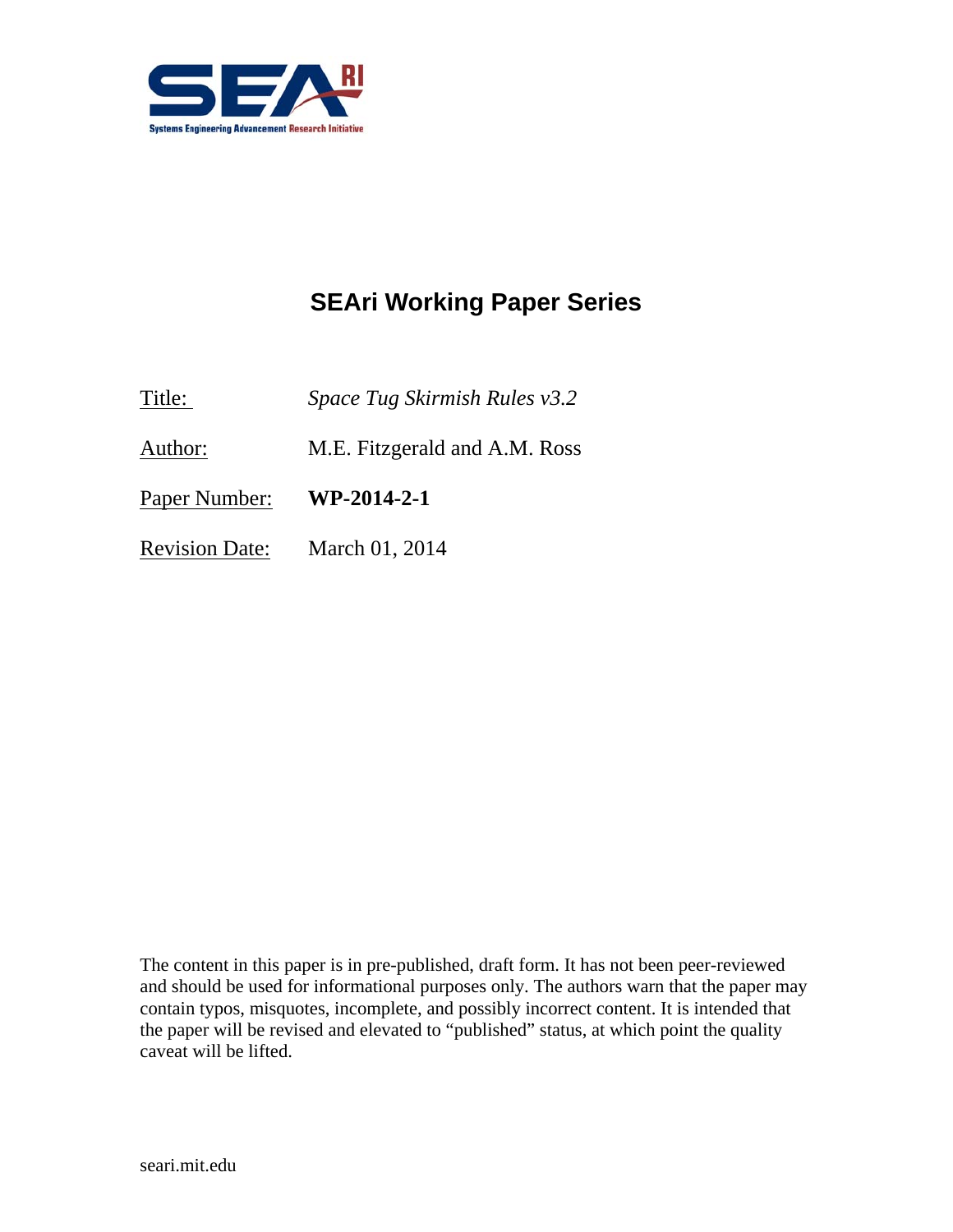

# **SEAri Working Paper Series**

Title: *Space Tug Skirmish Rules v3.2*

Author: M.E. Fitzgerald and A.M. Ross

Paper Number: **WP-2014-2-1** 

Revision Date: March 01, 2014

The content in this paper is in pre-published, draft form. It has not been peer-reviewed and should be used for informational purposes only. The authors warn that the paper may contain typos, misquotes, incomplete, and possibly incorrect content. It is intended that the paper will be revised and elevated to "published" status, at which point the quality caveat will be lifted.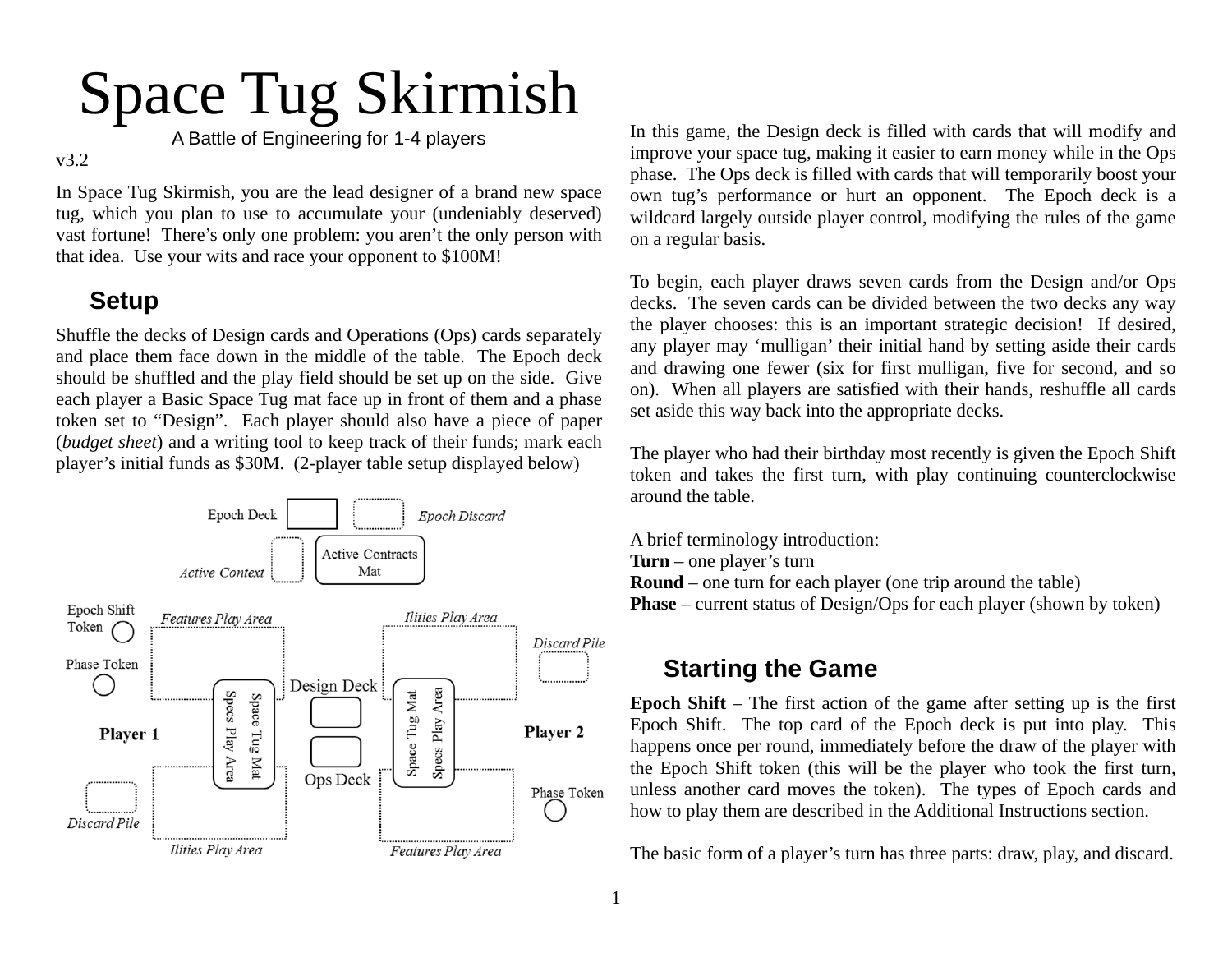# Space Tug Skirmish

A Battle of Engineering for 1-4 players

#### v3.2

In Space Tug Skirmish, you are the lead designer of a brand new space tug, which you plan to use to accumulate your (undeniably deserved) vast fortune! There's only one problem: you aren't the only person with that idea. Use your wits and race your opponent to \$100M!

# **Setup**

Shuffle the decks of Design cards and Operations (Ops) cards separately and place them face down in the middle of the table. The Epoch deck should be shuffled and the play field should be set up on the side. Give each player a Basic Space Tug mat face up in front of them and a phase token set to "Design". Each player should also have a piece of paper (*budget sheet*) and a writing tool to keep track of their funds; mark each player's initial funds as \$30M. (2-player table setup displayed below)



In this game, the Design deck is filled with cards that will modify and improve your space tug, making it easier to earn money while in the Ops phase. The Ops deck is filled with cards that will temporarily boost your own tug's performance or hurt an opponent. The Epoch deck is a wildcard largely outside player control, modifying the rules of the game on a regular basis.

To begin, each player draws seven cards from the Design and/or Ops decks. The seven cards can be divided between the two decks any way the player chooses: this is an important strategic decision! If desired, any player may 'mulligan' their initial hand by setting aside their cards and drawing one fewer (six for first mulligan, five for second, and so on). When all players are satisfied with their hands, reshuffle all cards set aside this way back into the appropriate decks.

The player who had their birthday most recently is given the Epoch Shift token and takes the first turn, with play continuing counterclockwise around the table.

A brief terminology introduction: **Turn** – one player's turn **Round** – one turn for each player (one trip around the table) **Phase** – current status of Design/Ops for each player (shown by token)

# **Starting the Game**

**Epoch Shift** – The first action of the game after setting up is the first Epoch Shift. The top card of the Epoch deck is put into play. This happens once per round, immediately before the draw of the player with the Epoch Shift token (this will be the player who took the first turn, unless another card moves the token). The types of Epoch cards and how to play them are described in the Additional Instructions section.

The basic form of a player's turn has three parts: draw, play, and discard.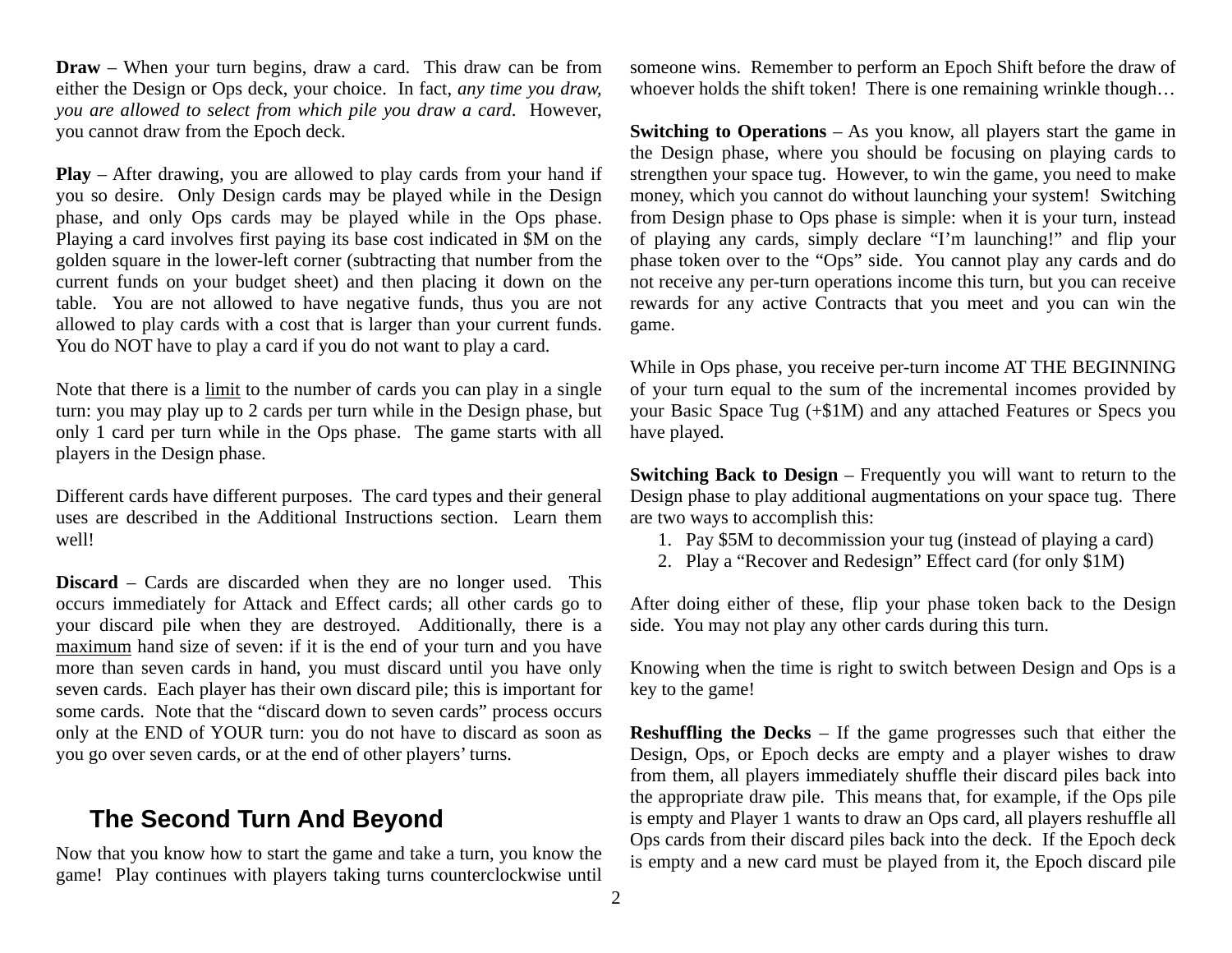**Draw** – When your turn begins, draw a card. This draw can be from either the Design or Ops deck, your choice. In fact, *any time you draw, you are allowed to select from which pile you draw a card*. However, you cannot draw from the Epoch deck.

**Play** – After drawing, you are allowed to play cards from your hand if you so desire. Only Design cards may be played while in the Design phase, and only Ops cards may be played while in the Ops phase. Playing a card involves first paying its base cost indicated in \$M on the golden square in the lower-left corner (subtracting that number from the current funds on your budget sheet) and then placing it down on the table. You are not allowed to have negative funds, thus you are not allowed to play cards with a cost that is larger than your current funds. You do NOT have to play a card if you do not want to play a card.

Note that there is a limit to the number of cards you can play in a single turn: you may play up to 2 cards per turn while in the Design phase, but only 1 card per turn while in the Ops phase. The game starts with all players in the Design phase.

Different cards have different purposes. The card types and their general uses are described in the Additional Instructions section. Learn them well!

**Discard** – Cards are discarded when they are no longer used. This occurs immediately for Attack and Effect cards; all other cards go to your discard pile when they are destroyed. Additionally, there is a maximum hand size of seven: if it is the end of your turn and you have more than seven cards in hand, you must discard until you have only seven cards. Each player has their own discard pile; this is important for some cards. Note that the "discard down to seven cards" process occurs only at the END of YOUR turn: you do not have to discard as soon as you go over seven cards, or at the end of other players' turns.

#### **The Second Turn And Beyond**

Now that you know how to start the game and take a turn, you know the game! Play continues with players taking turns counterclockwise until someone wins. Remember to perform an Epoch Shift before the draw of whoever holds the shift token! There is one remaining wrinkle though...

**Switching to Operations** – As you know, all players start the game in the Design phase, where you should be focusing on playing cards to strengthen your space tug. However, to win the game, you need to make money, which you cannot do without launching your system! Switching from Design phase to Ops phase is simple: when it is your turn, instead of playing any cards, simply declare "I'm launching!" and flip your phase token over to the "Ops" side. You cannot play any cards and do not receive any per-turn operations income this turn, but you can receive rewards for any active Contracts that you meet and you can win the game.

While in Ops phase, you receive per-turn income AT THE BEGINNING of your turn equal to the sum of the incremental incomes provided by your Basic Space Tug (+\$1M) and any attached Features or Specs you have played.

**Switching Back to Design** – Frequently you will want to return to the Design phase to play additional augmentations on your space tug. There are two ways to accomplish this:

- 1. Pay \$5M to decommission your tug (instead of playing a card)
- 2. Play a "Recover and Redesign" Effect card (for only \$1M)

After doing either of these, flip your phase token back to the Design side. You may not play any other cards during this turn.

Knowing when the time is right to switch between Design and Ops is a key to the game!

**Reshuffling the Decks** – If the game progresses such that either the Design, Ops, or Epoch decks are empty and a player wishes to draw from them, all players immediately shuffle their discard piles back into the appropriate draw pile. This means that, for example, if the Ops pile is empty and Player 1 wants to draw an Ops card, all players reshuffle all Ops cards from their discard piles back into the deck. If the Epoch deck is empty and a new card must be played from it, the Epoch discard pile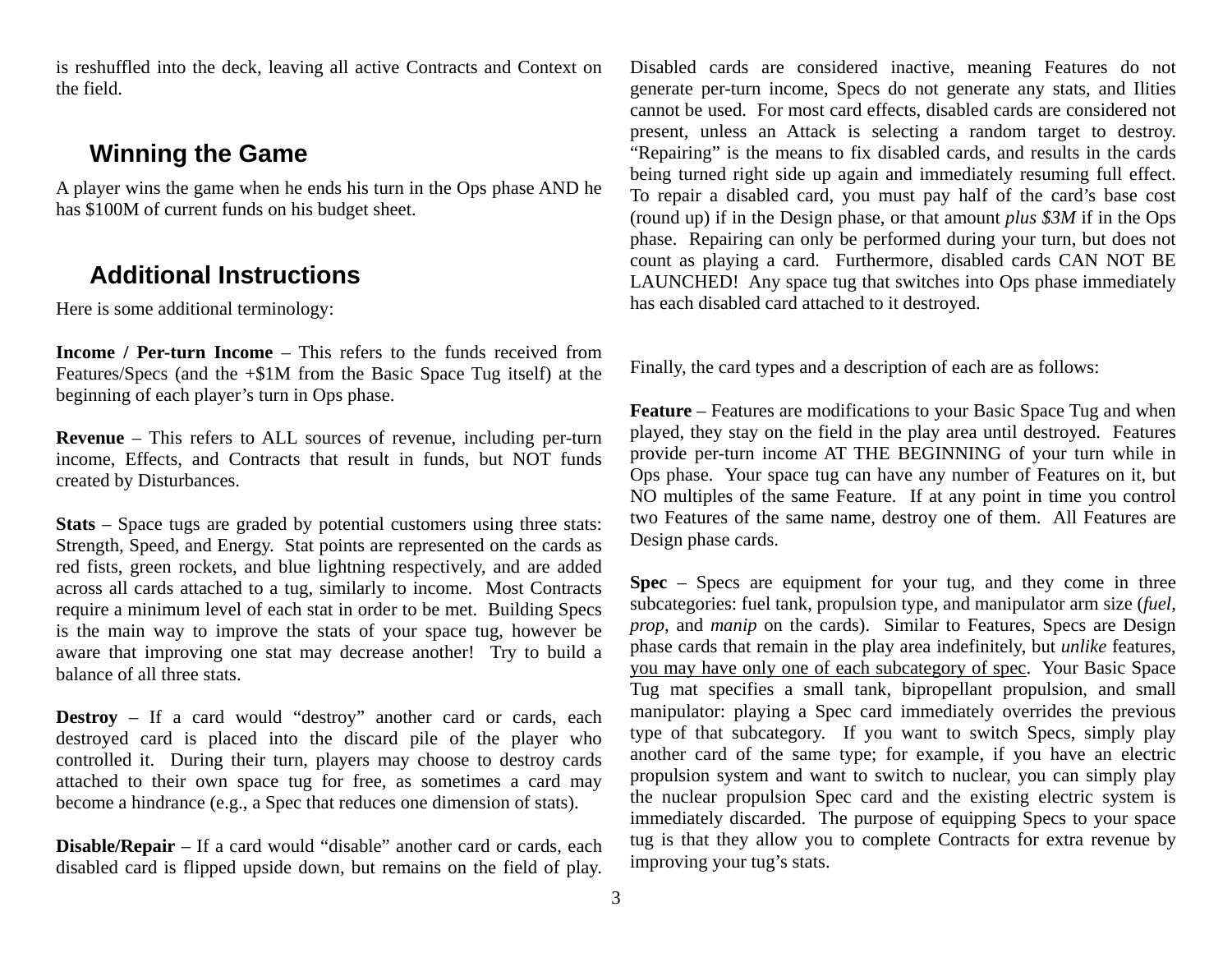is reshuffled into the deck, leaving all active Contracts and Context on the field.

#### **Winning the Game**

A player wins the game when he ends his turn in the Ops phase AND he has \$100M of current funds on his budget sheet.

# **Additional Instructions**

Here is some additional terminology:

**Income / Per-turn Income** – This refers to the funds received from Features/Specs (and the +\$1M from the Basic Space Tug itself) at the beginning of each player's turn in Ops phase.

**Revenue** – This refers to ALL sources of revenue, including per-turn income, Effects, and Contracts that result in funds, but NOT funds created by Disturbances.

**Stats** – Space tugs are graded by potential customers using three stats: Strength, Speed, and Energy. Stat points are represented on the cards as red fists, green rockets, and blue lightning respectively, and are added across all cards attached to a tug, similarly to income. Most Contracts require a minimum level of each stat in order to be met. Building Specs is the main way to improve the stats of your space tug, however be aware that improving one stat may decrease another! Try to build a balance of all three stats.

**Destroy** – If a card would "destroy" another card or cards, each destroyed card is placed into the discard pile of the player who controlled it. During their turn, players may choose to destroy cards attached to their own space tug for free, as sometimes a card may become a hindrance (e.g., a Spec that reduces one dimension of stats).

**Disable/Repair** – If a card would "disable" another card or cards, each disabled card is flipped upside down, but remains on the field of play.

Disabled cards are considered inactive, meaning Features do not generate per-turn income, Specs do not generate any stats, and Ilities cannot be used. For most card effects, disabled cards are considered not present, unless an Attack is selecting a random target to destroy. "Repairing" is the means to fix disabled cards, and results in the cards being turned right side up again and immediately resuming full effect. To repair a disabled card, you must pay half of the card's base cost (round up) if in the Design phase, or that amount *plus \$3M* if in the Ops phase. Repairing can only be performed during your turn, but does not count as playing a card. Furthermore, disabled cards CAN NOT BE LAUNCHED! Any space tug that switches into Ops phase immediately has each disabled card attached to it destroyed.

Finally, the card types and a description of each are as follows:

**Feature** – Features are modifications to your Basic Space Tug and when played, they stay on the field in the play area until destroyed. Features provide per-turn income AT THE BEGINNING of your turn while in Ops phase. Your space tug can have any number of Features on it, but NO multiples of the same Feature. If at any point in time you control two Features of the same name, destroy one of them. All Features are Design phase cards.

**Spec** – Specs are equipment for your tug, and they come in three subcategories: fuel tank, propulsion type, and manipulator arm size (*fuel*, *prop*, and *manip* on the cards). Similar to Features, Specs are Design phase cards that remain in the play area indefinitely, but *unlike* features, you may have only one of each subcategory of spec. Your Basic Space Tug mat specifies a small tank, bipropellant propulsion, and small manipulator: playing a Spec card immediately overrides the previous type of that subcategory. If you want to switch Specs, simply play another card of the same type; for example, if you have an electric propulsion system and want to switch to nuclear, you can simply play the nuclear propulsion Spec card and the existing electric system is immediately discarded. The purpose of equipping Specs to your space tug is that they allow you to complete Contracts for extra revenue by improving your tug's stats.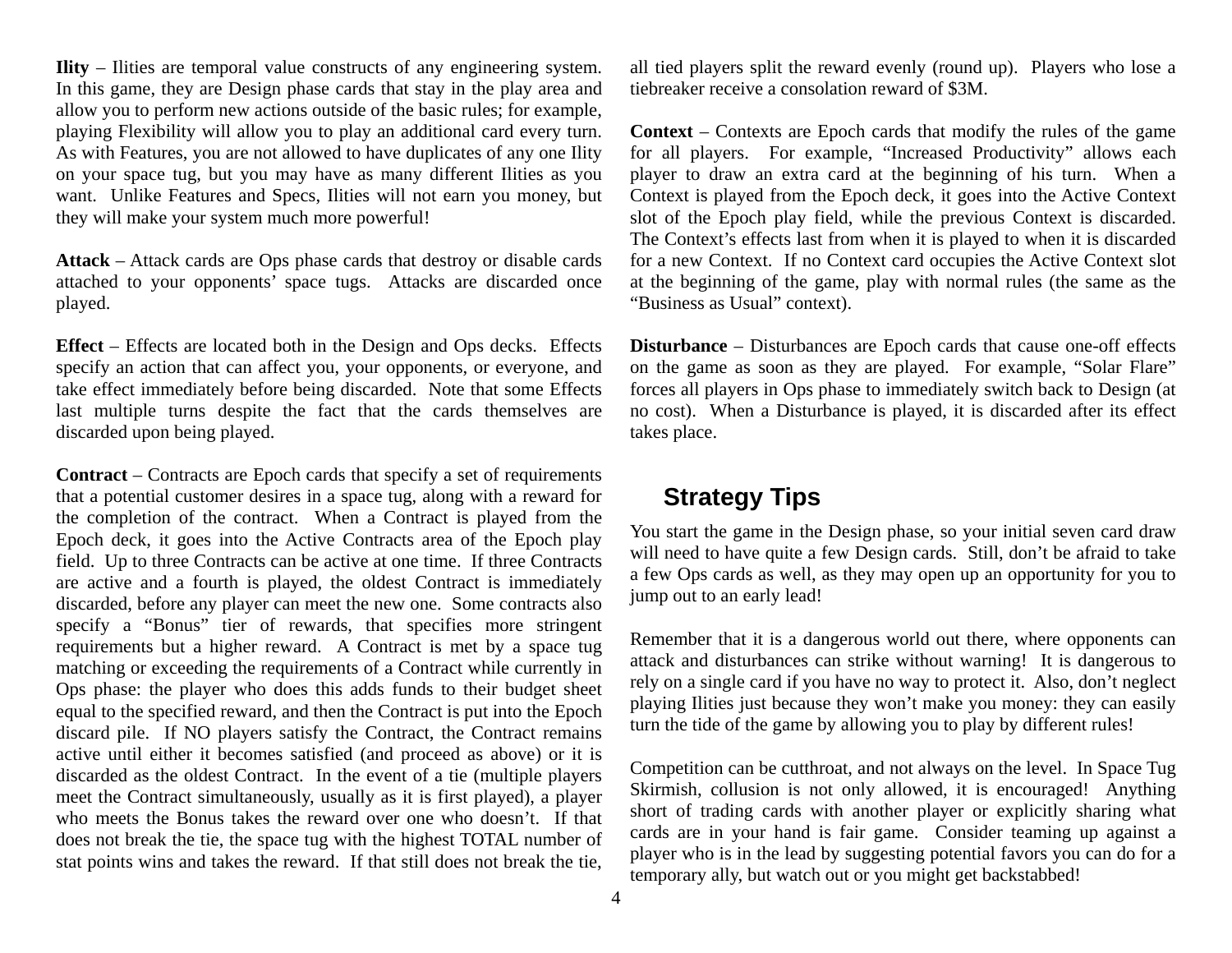**Ility** – Ilities are temporal value constructs of any engineering system. In this game, they are Design phase cards that stay in the play area and allow you to perform new actions outside of the basic rules; for example, playing Flexibility will allow you to play an additional card every turn. As with Features, you are not allowed to have duplicates of any one Ility on your space tug, but you may have as many different Ilities as you want. Unlike Features and Specs, Ilities will not earn you money, but they will make your system much more powerful!

**Attack** – Attack cards are Ops phase cards that destroy or disable cards attached to your opponents' space tugs. Attacks are discarded once played.

**Effect** – Effects are located both in the Design and Ops decks. Effects specify an action that can affect you, your opponents, or everyone, and take effect immediately before being discarded. Note that some Effects last multiple turns despite the fact that the cards themselves are discarded upon being played.

**Contract** – Contracts are Epoch cards that specify a set of requirements that a potential customer desires in a space tug, along with a reward for the completion of the contract. When a Contract is played from the Epoch deck, it goes into the Active Contracts area of the Epoch play field. Up to three Contracts can be active at one time. If three Contracts are active and a fourth is played, the oldest Contract is immediately discarded, before any player can meet the new one. Some contracts also specify a "Bonus" tier of rewards, that specifies more stringent requirements but a higher reward. A Contract is met by a space tug matching or exceeding the requirements of a Contract while currently in Ops phase: the player who does this adds funds to their budget sheet equal to the specified reward, and then the Contract is put into the Epoch discard pile. If NO players satisfy the Contract, the Contract remains active until either it becomes satisfied (and proceed as above) or it is discarded as the oldest Contract. In the event of a tie (multiple players meet the Contract simultaneously, usually as it is first played), a player who meets the Bonus takes the reward over one who doesn't. If that does not break the tie, the space tug with the highest TOTAL number of stat points wins and takes the reward. If that still does not break the tie,

all tied players split the reward evenly (round up). Players who lose a tiebreaker receive a consolation reward of \$3M.

**Context** – Contexts are Epoch cards that modify the rules of the game for all players. For example, "Increased Productivity" allows each player to draw an extra card at the beginning of his turn. When a Context is played from the Epoch deck, it goes into the Active Context slot of the Epoch play field, while the previous Context is discarded. The Context's effects last from when it is played to when it is discarded for a new Context. If no Context card occupies the Active Context slot at the beginning of the game, play with normal rules (the same as the "Business as Usual" context).

**Disturbance** – Disturbances are Epoch cards that cause one-off effects on the game as soon as they are played. For example, "Solar Flare" forces all players in Ops phase to immediately switch back to Design (at no cost). When a Disturbance is played, it is discarded after its effect takes place.

#### **Strategy Tips**

You start the game in the Design phase, so your initial seven card draw will need to have quite a few Design cards. Still, don't be afraid to take a few Ops cards as well, as they may open up an opportunity for you to jump out to an early lead!

Remember that it is a dangerous world out there, where opponents can attack and disturbances can strike without warning! It is dangerous to rely on a single card if you have no way to protect it. Also, don't neglect playing Ilities just because they won't make you money: they can easily turn the tide of the game by allowing you to play by different rules!

Competition can be cutthroat, and not always on the level. In Space Tug Skirmish, collusion is not only allowed, it is encouraged! Anything short of trading cards with another player or explicitly sharing what cards are in your hand is fair game. Consider teaming up against a player who is in the lead by suggesting potential favors you can do for a temporary ally, but watch out or you might get backstabbed!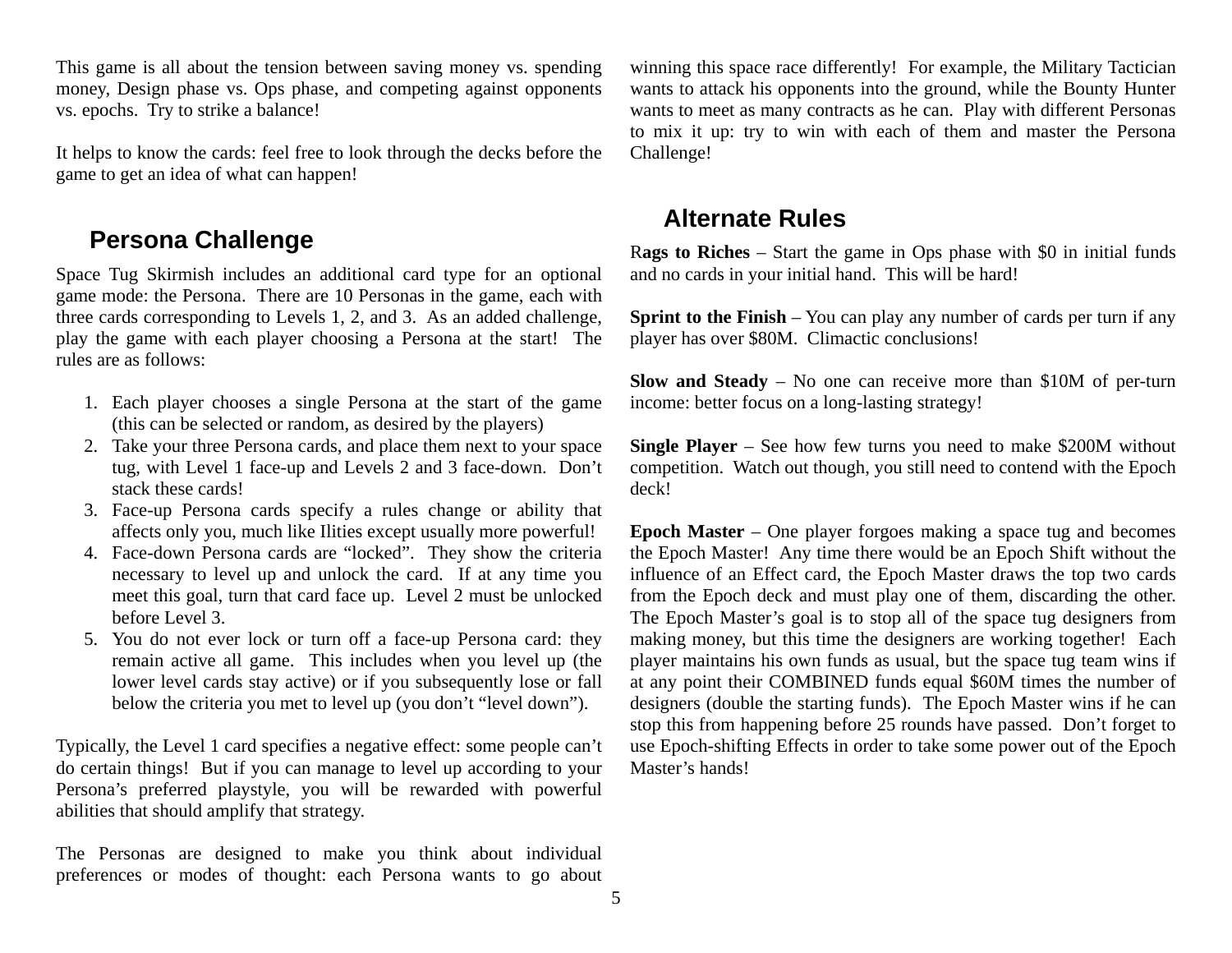This game is all about the tension between saving money vs. spending money, Design phase vs. Ops phase, and competing against opponents vs. epochs. Try to strike a balance!

It helps to know the cards: feel free to look through the decks before the game to get an idea of what can happen!

### **Persona Challenge**

Space Tug Skirmish includes an additional card type for an optional game mode: the Persona. There are 10 Personas in the game, each with three cards corresponding to Levels 1, 2, and 3. As an added challenge, play the game with each player choosing a Persona at the start! The rules are as follows:

- 1. Each player chooses a single Persona at the start of the game (this can be selected or random, as desired by the players)
- 2. Take your three Persona cards, and place them next to your space tug, with Level 1 face-up and Levels 2 and 3 face-down. Don't stack these cards!
- 3. Face-up Persona cards specify a rules change or ability that affects only you, much like Ilities except usually more powerful!
- 4. Face-down Persona cards are "locked". They show the criteria necessary to level up and unlock the card. If at any time you meet this goal, turn that card face up. Level 2 must be unlocked before Level 3.
- 5. You do not ever lock or turn off a face-up Persona card: they remain active all game. This includes when you level up (the lower level cards stay active) or if you subsequently lose or fall below the criteria you met to level up (you don't "level down").

Typically, the Level 1 card specifies a negative effect: some people can't do certain things! But if you can manage to level up according to your Persona's preferred playstyle, you will be rewarded with powerful abilities that should amplify that strategy.

The Personas are designed to make you think about individual preferences or modes of thought: each Persona wants to go about

winning this space race differently! For example, the Military Tactician wants to attack his opponents into the ground, while the Bounty Hunter wants to meet as many contracts as he can. Play with different Personas to mix it up: try to win with each of them and master the Persona Challenge!

#### **Alternate Rules**

R**ags to Riches** – Start the game in Ops phase with \$0 in initial funds and no cards in your initial hand. This will be hard!

**Sprint to the Finish** – You can play any number of cards per turn if any player has over \$80M. Climactic conclusions!

**Slow and Steady** – No one can receive more than \$10M of per-turn income: better focus on a long-lasting strategy!

**Single Player** – See how few turns you need to make \$200M without competition. Watch out though, you still need to contend with the Epoch deck!

**Epoch Master** – One player forgoes making a space tug and becomes the Epoch Master! Any time there would be an Epoch Shift without the influence of an Effect card, the Epoch Master draws the top two cards from the Epoch deck and must play one of them, discarding the other. The Epoch Master's goal is to stop all of the space tug designers from making money, but this time the designers are working together! Each player maintains his own funds as usual, but the space tug team wins if at any point their COMBINED funds equal \$60M times the number of designers (double the starting funds). The Epoch Master wins if he can stop this from happening before 25 rounds have passed. Don't forget to use Epoch-shifting Effects in order to take some power out of the Epoch Master's hands!